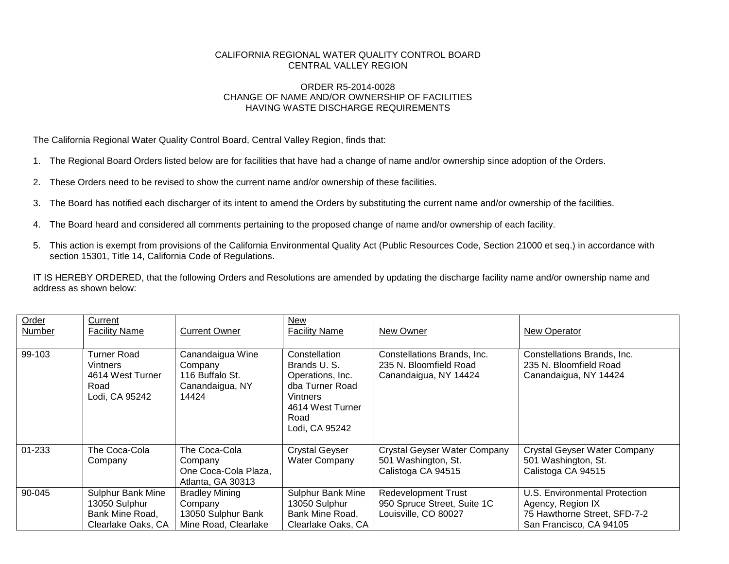## CALIFORNIA REGIONAL WATER QUALITY CONTROL BOARD CENTRAL VALLEY REGION

## ORDER R5-2014-0028 CHANGE OF NAME AND/OR OWNERSHIP OF FACILITIES HAVING WASTE DISCHARGE REQUIREMENTS

The California Regional Water Quality Control Board, Central Valley Region, finds that:

- 1. The Regional Board Orders listed below are for facilities that have had a change of name and/or ownership since adoption of the Orders.
- 2. These Orders need to be revised to show the current name and/or ownership of these facilities.
- 3. The Board has notified each discharger of its intent to amend the Orders by substituting the current name and/or ownership of the facilities.
- 4. The Board heard and considered all comments pertaining to the proposed change of name and/or ownership of each facility.
- 5. This action is exempt from provisions of the California Environmental Quality Act (Public Resources Code, Section 21000 et seq.) in accordance with section 15301, Title 14, California Code of Regulations.

IT IS HEREBY ORDERED, that the following Orders and Resolutions are amended by updating the discharge facility name and/or ownership name and address as shown below:

| Order<br>Number | Current<br><b>Facility Name</b>                                             | <b>Current Owner</b>                                                           | New<br><b>Facility Name</b>                                                                                                   | New Owner                                                                         | New Operator                                                                                                  |
|-----------------|-----------------------------------------------------------------------------|--------------------------------------------------------------------------------|-------------------------------------------------------------------------------------------------------------------------------|-----------------------------------------------------------------------------------|---------------------------------------------------------------------------------------------------------------|
| 99-103          | Turner Road<br>Vintners<br>4614 West Turner<br>Road<br>Lodi, CA 95242       | Canandaigua Wine<br>Company<br>116 Buffalo St.<br>Canandaigua, NY<br>14424     | Constellation<br>Brands U.S.<br>Operations, Inc.<br>dba Turner Road<br>Vintners<br>4614 West Turner<br>Road<br>Lodi, CA 95242 | Constellations Brands, Inc.<br>235 N. Bloomfield Road<br>Canandaigua, NY 14424    | Constellations Brands, Inc.<br>235 N. Bloomfield Road<br>Canandaigua, NY 14424                                |
| 01-233          | The Coca-Cola<br>Company                                                    | The Coca-Cola<br>Company<br>One Coca-Cola Plaza,<br>Atlanta, GA 30313          | <b>Crystal Geyser</b><br><b>Water Company</b>                                                                                 | <b>Crystal Geyser Water Company</b><br>501 Washington, St.<br>Calistoga CA 94515  | <b>Crystal Geyser Water Company</b><br>501 Washington, St.<br>Calistoga CA 94515                              |
| 90-045          | Sulphur Bank Mine<br>13050 Sulphur<br>Bank Mine Road,<br>Clearlake Oaks, CA | <b>Bradley Mining</b><br>Company<br>13050 Sulphur Bank<br>Mine Road, Clearlake | <b>Sulphur Bank Mine</b><br>13050 Sulphur<br>Bank Mine Road,<br>Clearlake Oaks, CA                                            | <b>Redevelopment Trust</b><br>950 Spruce Street, Suite 1C<br>Louisville, CO 80027 | U.S. Environmental Protection<br>Agency, Region IX<br>75 Hawthorne Street, SFD-7-2<br>San Francisco, CA 94105 |